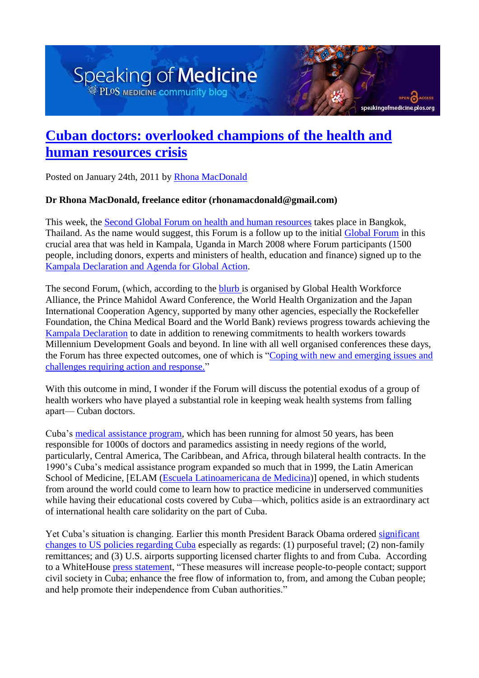## Speaking of Medicine PLOS MEDICINE COMMUNIty blog

## **[Cuban doctors: overlooked champions of the health and](http://blogs.plos.org/speakingofmedicine/2011/01/24/cuban-doctors-overlooked-champions-of-the-health-and-human-resources-crisis/)  [human resources crisis](http://blogs.plos.org/speakingofmedicine/2011/01/24/cuban-doctors-overlooked-champions-of-the-health-and-human-resources-crisis/)**

speaking of medicine.plos.org

Posted on January 24th, 2011 by [Rhona MacDonald](http://blogs.plos.org/speakingofmedicine/author/rmacdonald/)

## **Dr Rhona MacDonald, freelance editor (rhonamacdonald@gmail.com)**

This week, the [Second Global Forum on](http://www.who.int/workforcealliance/forum/2011/en/index.html) [health and human resources](http://www.who.int/workforcealliance/forum/2011/en/index.html) takes place in Bangkok, Thailand. As the name would suggest, this Forum is a follow up to the initial [Global Forum](http://www.who.int/workforcealliance/forum/2008/en/index.html) in this crucial area that was held in Kampala, Uganda in March 2008 where Forum participants (1500 people, including donors, experts and ministers of health, education and finance) signed up to the [Kampala Declaration and Agenda for Global Action.](http://www.who.int/workforcealliance/Kampala_declaration_final.pdf)

The second Forum, (which, according to the [blurb i](http://www.who.int/workforcealliance/forum/2011/en/index.html)s organised by Global Health Workforce Alliance, the Prince Mahidol Award Conference, the World Health Organization and the Japan International Cooperation Agency, supported by many other agencies, especially the Rockefeller Foundation, the China Medical Board and the World Bank) reviews progress towards achieving the [Kampala Declaration](http://www.who.int/workforcealliance/Kampala_declaration_final.pdf) to date in addition to renewing commitments to health workers towards Millennium Development Goals and beyond. In line with all well organised conferences these days, the Forum has three expected outcomes, one of which is ["Coping with new and emerging issues and](http://www.who.int/workforcealliance/forum/2011/theme/en/index.html)  [challenges requiring action and response."](http://www.who.int/workforcealliance/forum/2011/theme/en/index.html)

With this outcome in mind, I wonder if the Forum will discuss the potential exodus of a group of health workers who have played a substantial role in keeping weak health systems from falling apart— Cuban doctors.

Cuba's [medical assistance program,](http://en.wikipedia.org/wiki/Cuban_medical_internationalism) which has been running for almost 50 years, has been responsible for 1000s of doctors and paramedics assisting in needy regions of the world, particularly, Central America, The Caribbean, and Africa, through bilateral health contracts. In the 1990's Cuba's medical assistance program expanded so much that in 1999, the Latin American School of Medicine, [ELAM [\(Escuela Latinoamericana de Medicina\)](http://www.elacm.sld.cu/)] opened, in which students from around the world could come to learn how to practice medicine in underserved communities while having their educational costs covered by Cuba—which, politics aside is an extraordinary act of international health care solidarity on the part of Cuba.

Yet Cuba's situation is changing. Earlier this month President Barack Obama ordered [significant](http://www.whitehouse.gov/blog/2011/01/14/changes-america-cuba)  [changes to US policies regarding Cuba](http://www.whitehouse.gov/blog/2011/01/14/changes-america-cuba) especially as regards: (1) purposeful travel; (2) non-family remittances; and (3) U.S. airports supporting licensed charter flights to and from Cuba. According to a WhiteHouse [press statement](http://www.whitehouse.gov/blog/2011/01/14/changes-america-cuba), "These measures will increase people-to-people contact; support civil society in Cuba; enhance the free flow of information to, from, and among the Cuban people; and help promote their independence from Cuban authorities."